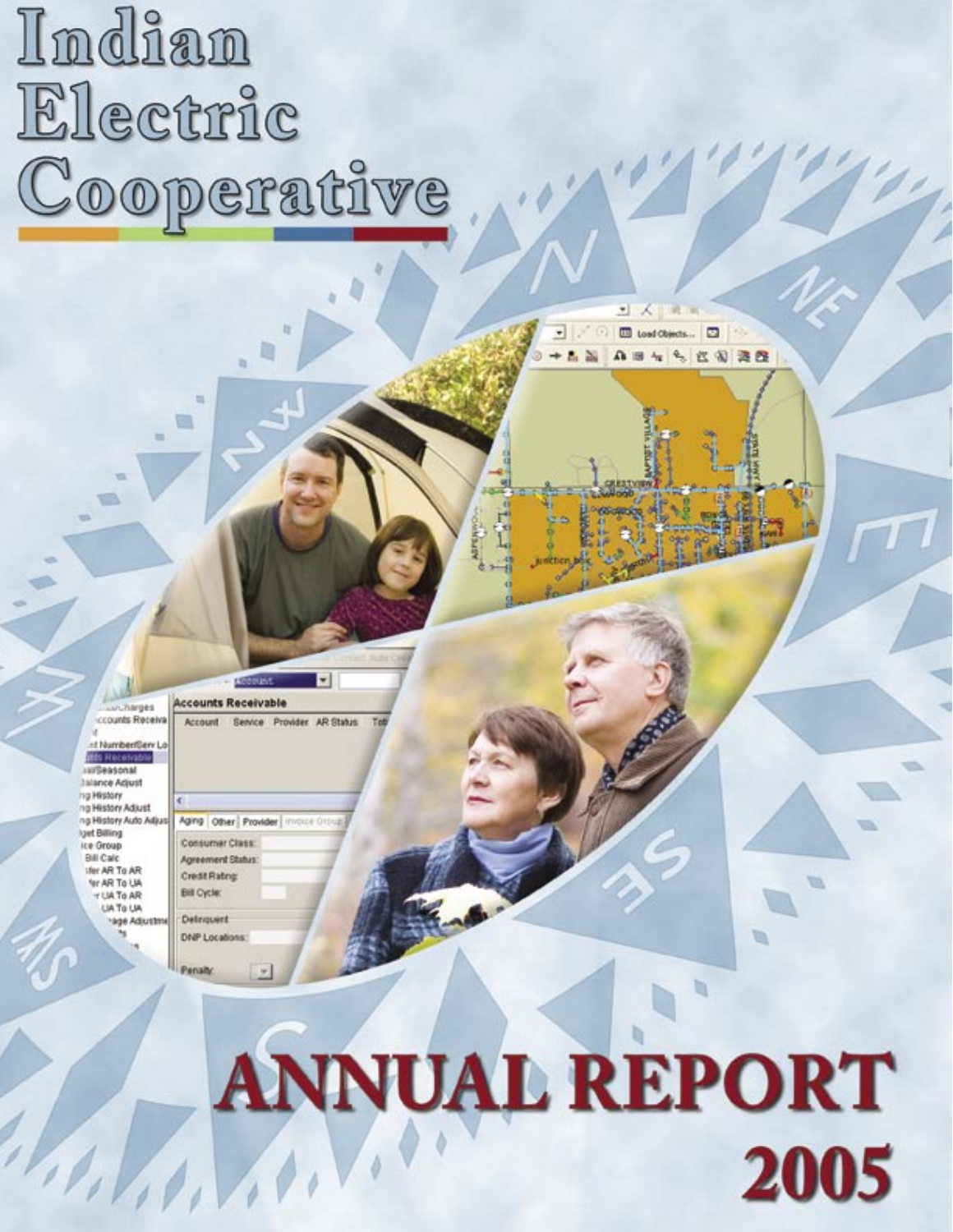# Indian Electric Cooperative

**urcharges** ccounts Receiva

nt Number/Benr L **IRES RIAGANIAN INFORMATION Islance Adjust** ng History ng History Adjust g History Auto Adju get Billing ice Group **Bill Calc** tfer AR To AR fer AR To UA y UA To AR **LIA To UA Note Adjustm**  **Accounts Receivable** 

Service Provider AR Status Account

Aging Other Provider invoice **Consumer Class** Agreement Status: **Credit Rating Bill Cycle:** Delinquent **DNP Locations:** Penalty

> **ANNUAL REPORT** 2005

۰. × **ED** Load Objects...

A 田 4 4 区 4 通 四

VD.

Q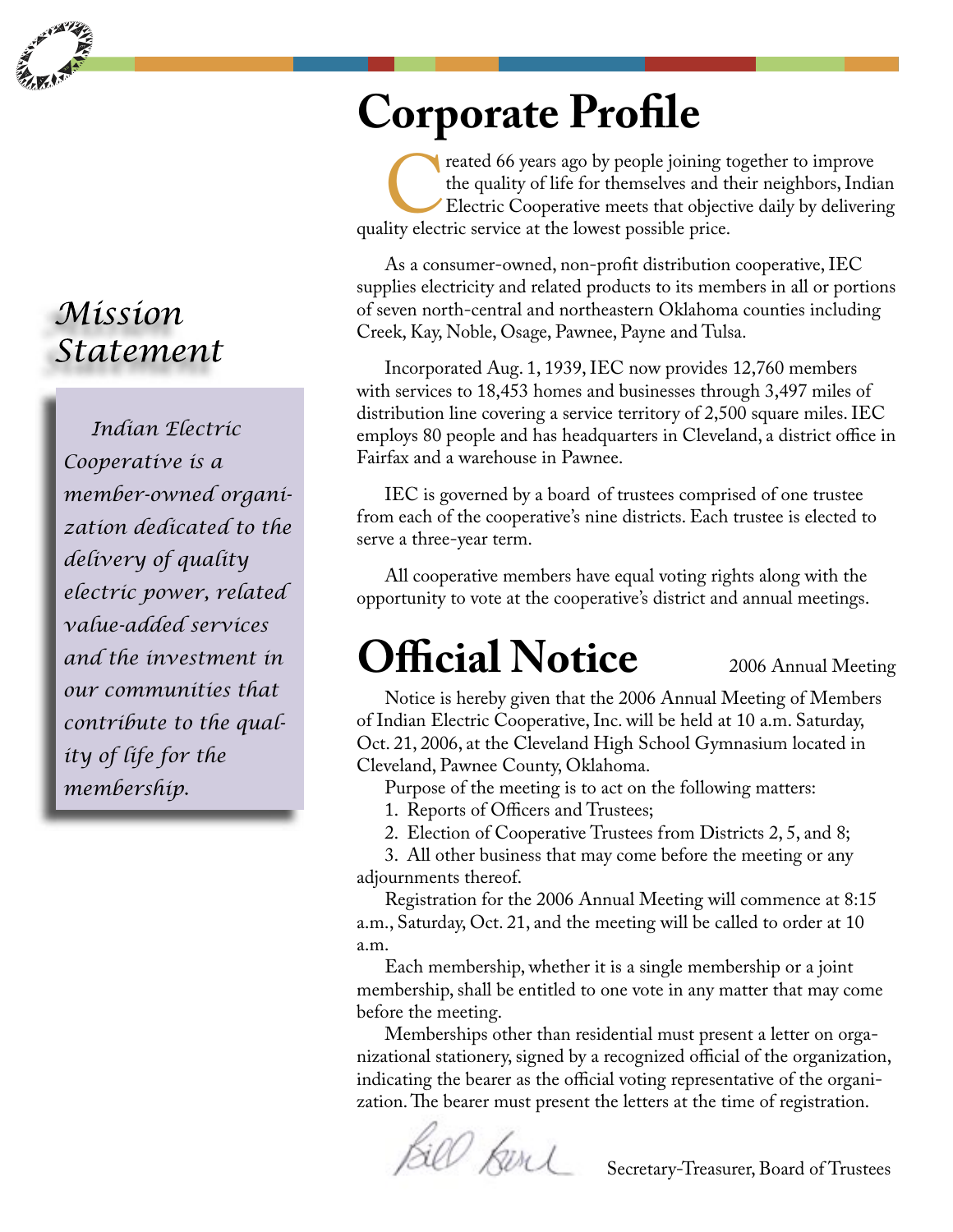

#### Mission Statement

*Indian Electric Cooperative is a member-owned organization dedicated to the delivery of quality electric power, related value-added services and the investment in our communities that contribute to the quality of life for the membership.*

#### **Corporate Profile**

reated 66 years ago by people joining together to improve<br>the quality of life for themselves and their neighbors, India<br>Electric Cooperative meets that objective daily by deliveria<br>lity electric service at the lowest possi the quality of life for themselves and their neighbors, Indian Electric Cooperative meets that objective daily by delivering quality electric service at the lowest possible price.

As a consumer-owned, non-profit distribution cooperative, IEC supplies electricity and related products to its members in all or portions of seven north-central and northeastern Oklahoma counties including Creek, Kay, Noble, Osage, Pawnee, Payne and Tulsa.

Incorporated Aug. 1, 1939, IEC now provides 12,760 members with services to 18,453 homes and businesses through 3,497 miles of distribution line covering a service territory of 2,500 square miles. IEC employs 80 people and has headquarters in Cleveland, a district office in Fairfax and a warehouse in Pawnee.

IEC is governed by a board of trustees comprised of one trustee from each of the cooperative's nine districts. Each trustee is elected to serve a three-year term.

All cooperative members have equal voting rights along with the opportunity to vote at the cooperative's district and annual meetings.

## **Official Notice**

2006 Annual Meeting

Notice is hereby given that the 2006 Annual Meeting of Members of Indian Electric Cooperative, Inc. will be held at 10 a.m. Saturday, Oct. 21, 2006, at the Cleveland High School Gymnasium located in Cleveland, Pawnee County, Oklahoma.

Purpose of the meeting is to act on the following matters:

1. Reports of Officers and Trustees;

2. Election of Cooperative Trustees from Districts 2, 5, and 8;

3. All other business that may come before the meeting or any adjournments thereof.

Registration for the 2006 Annual Meeting will commence at 8:15 a.m., Saturday, Oct. 21, and the meeting will be called to order at 10 a.m.

Each membership, whether it is a single membership or a joint membership, shall be entitled to one vote in any matter that may come before the meeting.

Memberships other than residential must present a letter on organizational stationery, signed by a recognized official of the organization, indicating the bearer as the official voting representative of the organization. The bearer must present the letters at the time of registration.

Bill Kerl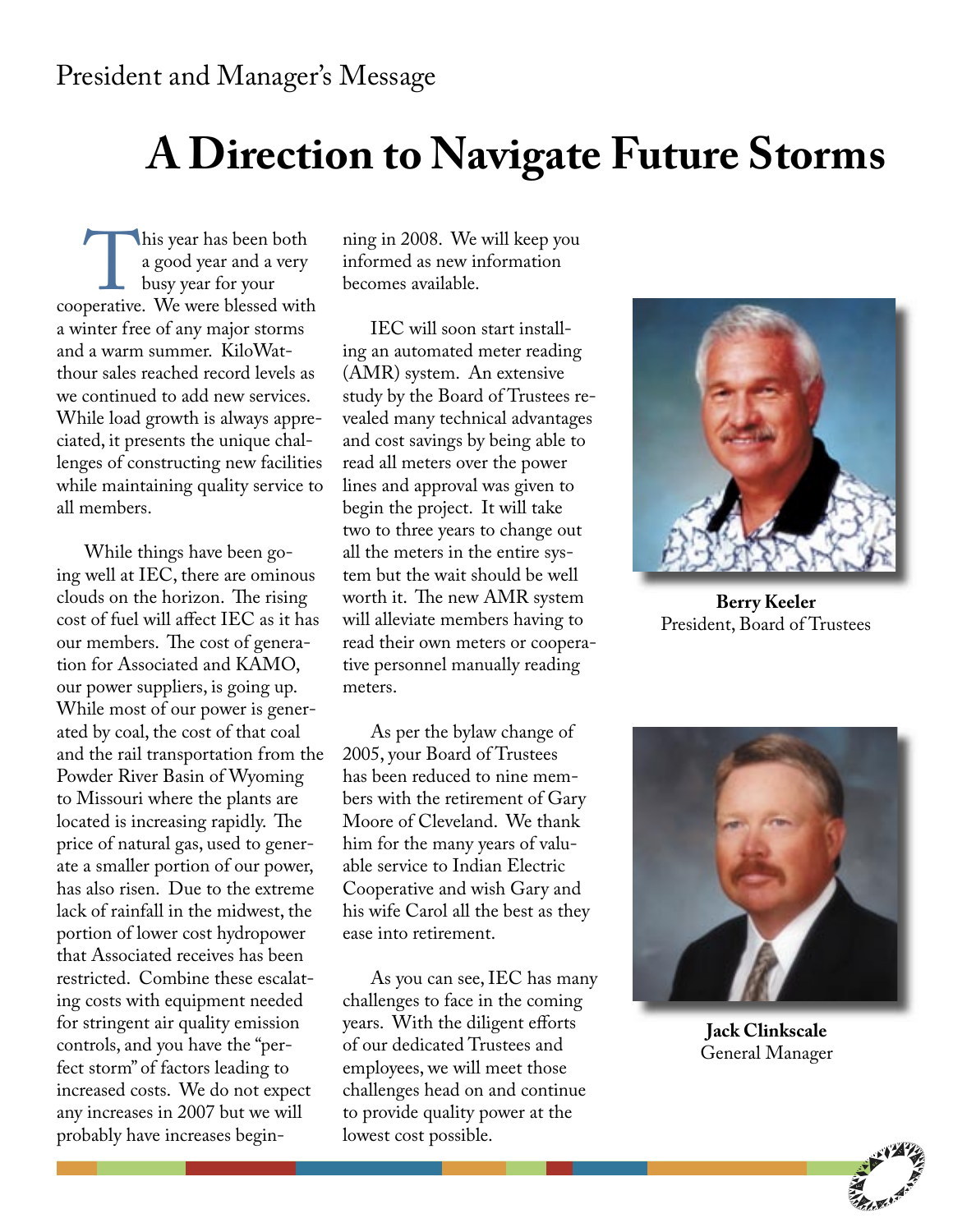### **A Direction to Navigate Future Storms**

This year has been both<br>
a good year and a very<br>
busy year for your<br>
cooperative. We were blessed with a good year and a very busy year for your a winter free of any major storms and a warm summer. KiloWatthour sales reached record levels as we continued to add new services. While load growth is always appreciated, it presents the unique challenges of constructing new facilities while maintaining quality service to all members.

While things have been going well at IEC, there are ominous clouds on the horizon. The rising cost of fuel will affect IEC as it has our members. The cost of generation for Associated and KAMO, our power suppliers, is going up. While most of our power is generated by coal, the cost of that coal and the rail transportation from the Powder River Basin of Wyoming to Missouri where the plants are located is increasing rapidly. The price of natural gas, used to generate a smaller portion of our power, has also risen. Due to the extreme lack of rainfall in the midwest, the portion of lower cost hydropower that Associated receives has been restricted. Combine these escalating costs with equipment needed for stringent air quality emission controls, and you have the "perfect storm" of factors leading to increased costs. We do not expect any increases in 2007 but we will probably have increases begin-

ning in 2008. We will keep you informed as new information becomes available.

IEC will soon start installing an automated meter reading (AMR) system. An extensive study by the Board of Trustees revealed many technical advantages and cost savings by being able to read all meters over the power lines and approval was given to begin the project. It will take two to three years to change out all the meters in the entire system but the wait should be well worth it. The new AMR system will alleviate members having to read their own meters or cooperative personnel manually reading meters.

As per the bylaw change of 2005, your Board of Trustees has been reduced to nine members with the retirement of Gary Moore of Cleveland. We thank him for the many years of valuable service to Indian Electric Cooperative and wish Gary and his wife Carol all the best as they ease into retirement.

As you can see, IEC has many challenges to face in the coming years. With the diligent efforts of our dedicated Trustees and employees, we will meet those challenges head on and continue to provide quality power at the lowest cost possible.



**Berry Keeler** President, Board of Trustees



**Jack Clinkscale** General Manager

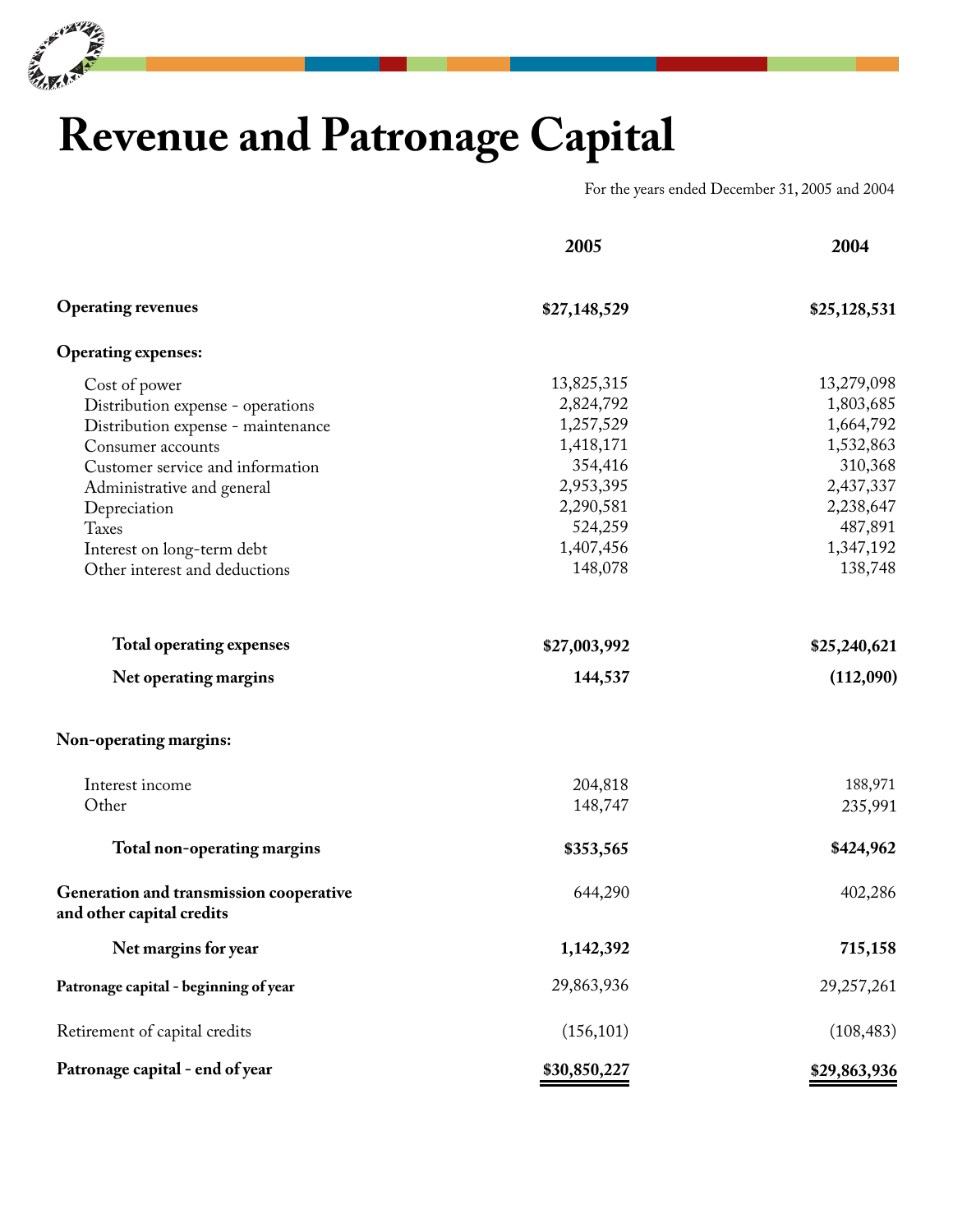

# **Revenue and Patronage Capital**

For the years ended December 31, 2005 and 2004

|                                                                      | 2005         | 2004         |
|----------------------------------------------------------------------|--------------|--------------|
| <b>Operating revenues</b>                                            | \$27,148,529 | \$25,128,531 |
| <b>Operating expenses:</b>                                           |              |              |
| Cost of power                                                        | 13,825,315   | 13,279,098   |
| Distribution expense - operations                                    | 2,824,792    | 1,803,685    |
| Distribution expense - maintenance                                   | 1,257,529    | 1,664,792    |
| Consumer accounts                                                    | 1,418,171    | 1,532,863    |
| Customer service and information                                     | 354,416      | 310,368      |
| Administrative and general                                           | 2,953,395    | 2,437,337    |
| Depreciation                                                         | 2,290,581    | 2,238,647    |
| <b>Taxes</b>                                                         | 524,259      | 487,891      |
| Interest on long-term debt                                           | 1,407,456    | 1,347,192    |
| Other interest and deductions                                        | 148,078      | 138,748      |
| <b>Total operating expenses</b>                                      | \$27,003,992 | \$25,240,621 |
| Net operating margins                                                | 144,537      | (112,090)    |
| Non-operating margins:                                               |              |              |
| Interest income                                                      | 204,818      | 188,971      |
| Other                                                                | 148,747      | 235,991      |
| Total non-operating margins                                          | \$353,565    | \$424,962    |
| Generation and transmission cooperative<br>and other capital credits | 644,290      | 402,286      |
| Net margins for year                                                 | 1,142,392    | 715,158      |
| Patronage capital - beginning of year                                | 29,863,936   | 29,257,261   |
| Retirement of capital credits                                        | (156, 101)   | (108, 483)   |
| Patronage capital - end of year                                      | \$30,850,227 | \$29,863,936 |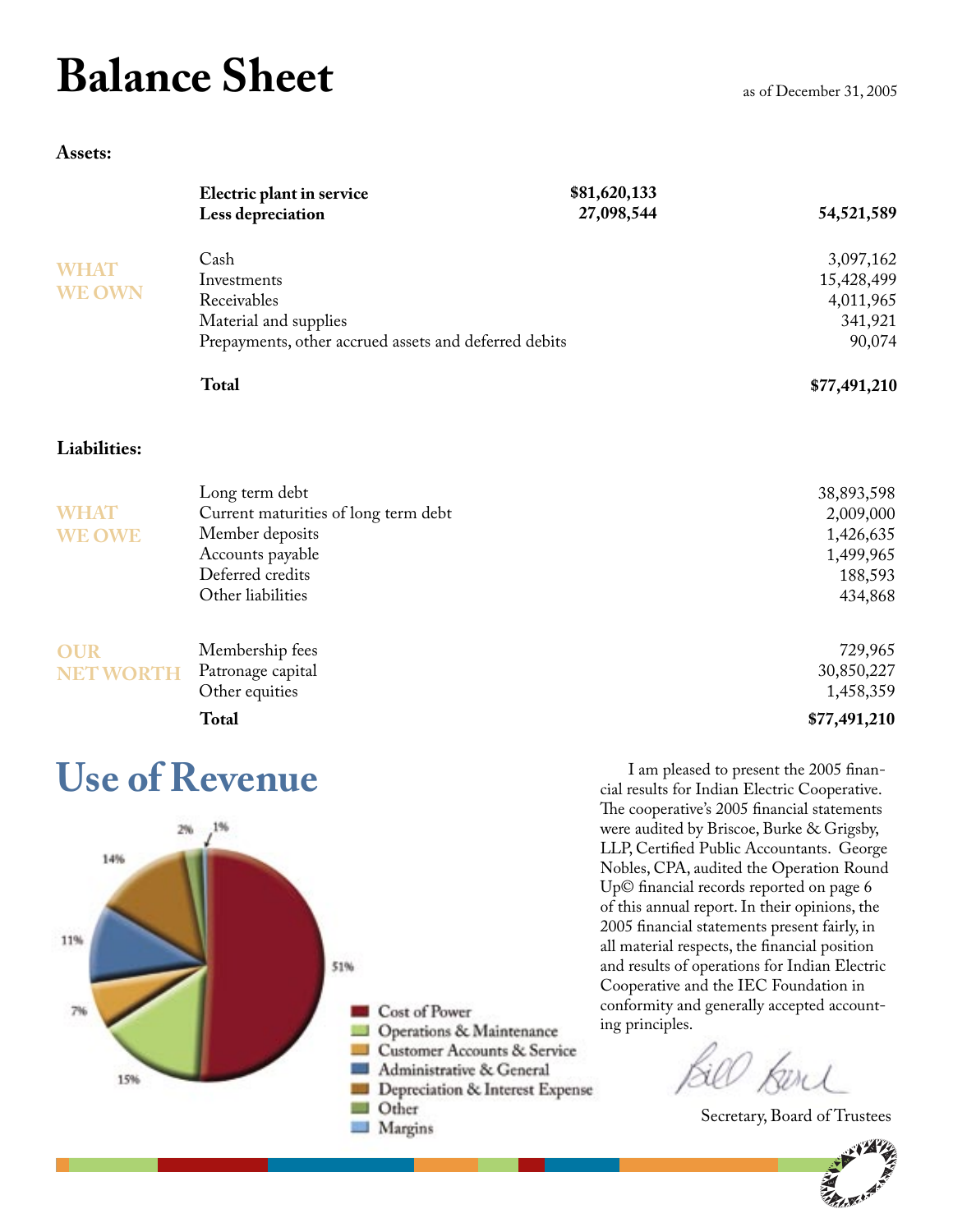# **Balance Sheet**

|                | Electric plant in service                             | \$81,620,133 |              |
|----------------|-------------------------------------------------------|--------------|--------------|
|                | Less depreciation                                     | 27,098,544   | 54,521,589   |
|                | Cash                                                  |              | 3,097,162    |
| <b>WHAT</b>    | Investments                                           |              | 15,428,499   |
| <b>WE OWN</b>  | Receivables                                           |              | 4,011,965    |
|                | Material and supplies                                 |              | 341,921      |
|                | Prepayments, other accrued assets and deferred debits |              | 90,074       |
|                | <b>Total</b>                                          |              | \$77,491,210 |
| Liabilities:   |                                                       |              |              |
|                | Long term debt                                        |              | 38,893,598   |
| <b>WHAT</b>    | Current maturities of long term debt                  |              | 2,009,000    |
| <b>WE OWE</b>  | Member deposits                                       |              | 1,426,635    |
|                | Accounts payable                                      |              | 1,499,965    |
|                | Deferred credits                                      |              | 188,593      |
|                | Other liabilities                                     |              | 434,868      |
| <b>OUR</b>     | Membership fees                                       |              | 729,965      |
| <b>NET WOR</b> | Patronage capital                                     |              | 30,850,227   |
|                | Other equities                                        |              | 1,458,359    |
|                |                                                       |              |              |

**Total \$77,491,210**

#### **Use of Revenue**



I am pleased to present the 2005 financial results for Indian Electric Cooperative. The cooperative's 2005 financial statements were audited by Briscoe, Burke & Grigsby, LLP, Certified Public Accountants. George Nobles, CPA, audited the Operation Round Up© financial records reported on page 6 of this annual report. In their opinions, the 2005 financial statements present fairly, in all material respects, the financial position and results of operations for Indian Electric Cooperative and the IEC Foundation in conformity and generally accepted accounting principles.

Resid

Secretary, Board of Trustees

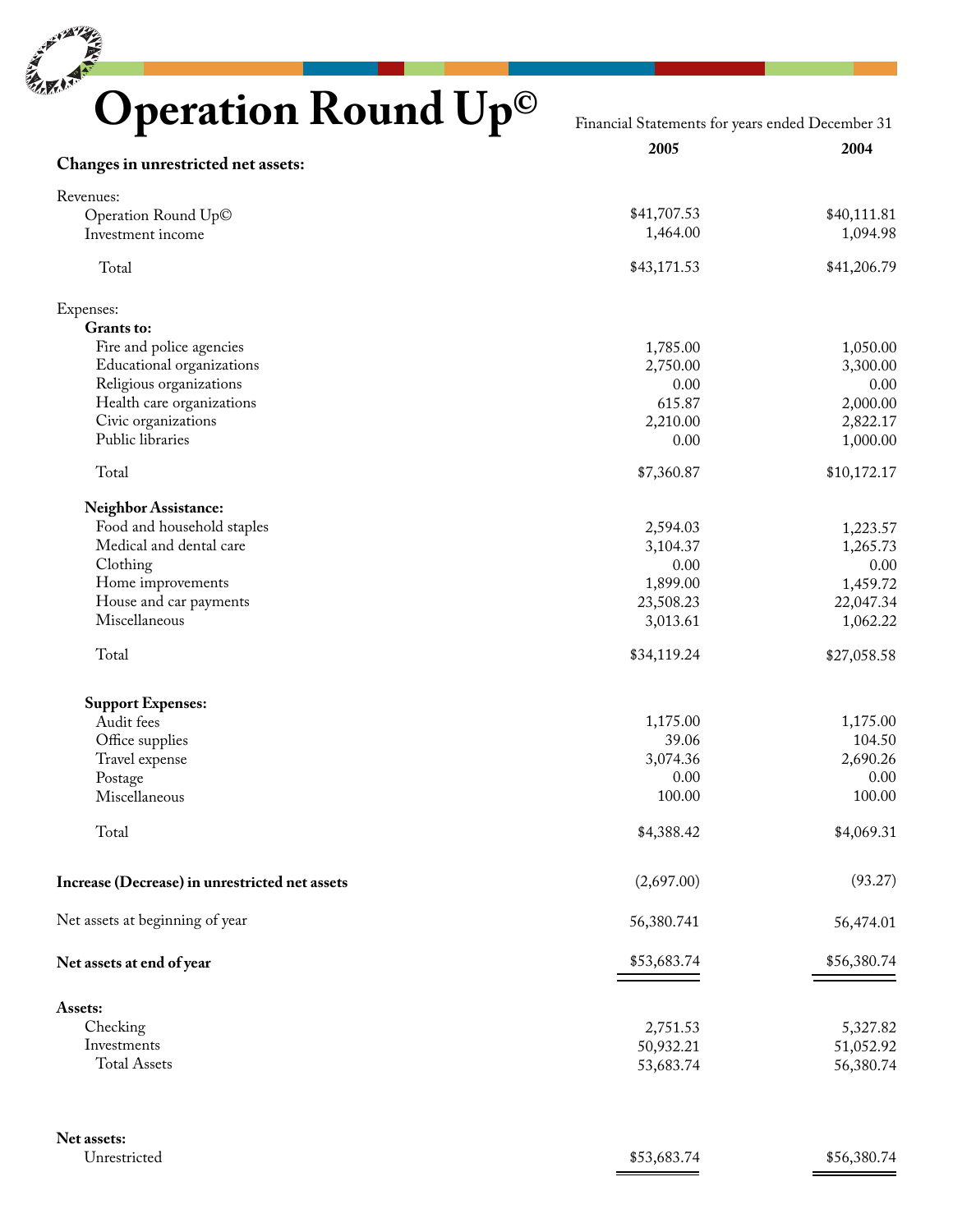# **Operation Round Up©**

Financial Statements for years ended December 31

| Changes in unrestricted net assets:              | 2005           | 2004                    |
|--------------------------------------------------|----------------|-------------------------|
|                                                  |                |                         |
| Revenues:                                        |                |                         |
| Operation Round Up©                              | \$41,707.53    | \$40,111.81<br>1,094.98 |
| Investment income                                | 1,464.00       |                         |
| Total                                            | \$43,171.53    | \$41,206.79             |
| Expenses:                                        |                |                         |
| Grants to:                                       |                |                         |
| Fire and police agencies                         | 1,785.00       | 1,050.00                |
| Educational organizations                        | 2,750.00       | 3,300.00                |
| Religious organizations                          | 0.00<br>615.87 | 0.00                    |
| Health care organizations<br>Civic organizations | 2,210.00       | 2,000.00                |
| Public libraries                                 | 0.00           | 2,822.17<br>1,000.00    |
|                                                  |                |                         |
| Total                                            | \$7,360.87     | \$10,172.17             |
| <b>Neighbor Assistance:</b>                      |                |                         |
| Food and household staples                       | 2,594.03       | 1,223.57                |
| Medical and dental care                          | 3,104.37       | 1,265.73                |
| Clothing                                         | 0.00           | 0.00                    |
| Home improvements                                | 1,899.00       | 1,459.72                |
| House and car payments                           | 23,508.23      | 22,047.34               |
| Miscellaneous                                    | 3,013.61       | 1,062.22                |
| Total                                            | \$34,119.24    | \$27,058.58             |
| <b>Support Expenses:</b>                         |                |                         |
| Audit fees                                       | 1,175.00       | 1,175.00                |
| Office supplies                                  | 39.06          | 104.50                  |
| Travel expense                                   | 3,074.36       | 2,690.26                |
| Postage                                          | 0.00           | 0.00                    |
| Miscellaneous                                    | 100.00         | 100.00                  |
| Total                                            | \$4,388.42     | \$4,069.31              |
|                                                  |                | (93.27)                 |
| Increase (Decrease) in unrestricted net assets   | (2,697.00)     |                         |
| Net assets at beginning of year                  | 56,380.741     | 56,474.01               |
| Net assets at end of year                        | \$53,683.74    | \$56,380.74             |
|                                                  |                |                         |
| Assets:<br>Checking                              |                |                         |
| Investments                                      | 2,751.53       | 5,327.82                |
| <b>Total Assets</b>                              | 50,932.21      | 51,052.92               |
|                                                  | 53,683.74      | 56,380.74               |
| Net assets:                                      |                |                         |
| Unrestricted                                     | \$53,683.74    | \$56,380.74             |
|                                                  |                |                         |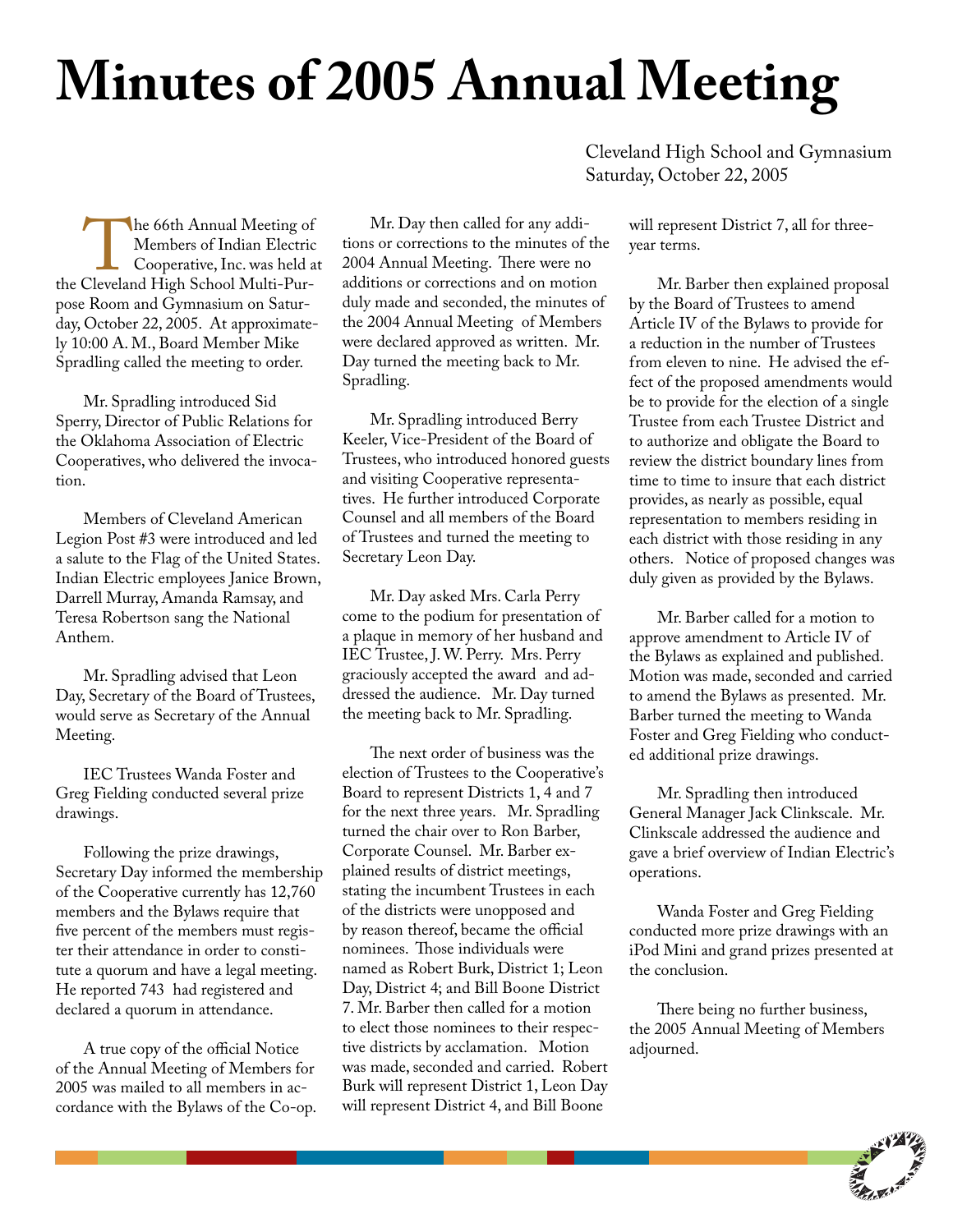# **Minutes of 2005 Annual Meeting**

The 66th Annual Meeting of<br>
Members of Indian Electric<br>
Cooperative, Inc. was held a<br>
the Cleveland High School Multi-Pur-Members of Indian Electric Cooperative, Inc. was held at pose Room and Gymnasium on Saturday, October 22, 2005. At approximately 10:00 A. M., Board Member Mike Spradling called the meeting to order.

Mr. Spradling introduced Sid Sperry, Director of Public Relations for the Oklahoma Association of Electric Cooperatives, who delivered the invocation.

Members of Cleveland American Legion Post #3 were introduced and led a salute to the Flag of the United States. Indian Electric employees Janice Brown, Darrell Murray, Amanda Ramsay, and Teresa Robertson sang the National Anthem.

Mr. Spradling advised that Leon Day, Secretary of the Board of Trustees, would serve as Secretary of the Annual Meeting.

IEC Trustees Wanda Foster and Greg Fielding conducted several prize drawings.

Following the prize drawings, Secretary Day informed the membership of the Cooperative currently has 12,760 members and the Bylaws require that five percent of the members must register their attendance in order to constitute a quorum and have a legal meeting. He reported 743 had registered and declared a quorum in attendance.

A true copy of the official Notice of the Annual Meeting of Members for 2005 was mailed to all members in accordance with the Bylaws of the Co-op.

Mr. Day then called for any additions or corrections to the minutes of the 2004 Annual Meeting. There were no additions or corrections and on motion duly made and seconded, the minutes of the 2004 Annual Meeting of Members were declared approved as written. Mr. Day turned the meeting back to Mr. Spradling.

Mr. Spradling introduced Berry Keeler, Vice-President of the Board of Trustees, who introduced honored guests and visiting Cooperative representatives. He further introduced Corporate Counsel and all members of the Board of Trustees and turned the meeting to Secretary Leon Day.

Mr. Day asked Mrs. Carla Perry come to the podium for presentation of a plaque in memory of her husband and IEC Trustee, J. W. Perry. Mrs. Perry graciously accepted the award and addressed the audience. Mr. Day turned the meeting back to Mr. Spradling.

The next order of business was the election of Trustees to the Cooperative's Board to represent Districts 1, 4 and 7 for the next three years. Mr. Spradling turned the chair over to Ron Barber, Corporate Counsel. Mr. Barber explained results of district meetings, stating the incumbent Trustees in each of the districts were unopposed and by reason thereof, became the official nominees. Those individuals were named as Robert Burk, District 1; Leon Day, District 4; and Bill Boone District 7. Mr. Barber then called for a motion to elect those nominees to their respective districts by acclamation. Motion was made, seconded and carried. Robert Burk will represent District 1, Leon Day will represent District 4, and Bill Boone

Cleveland High School and Gymnasium Saturday, October 22, 2005

> will represent District 7, all for threeyear terms.

Mr. Barber then explained proposal by the Board of Trustees to amend Article IV of the Bylaws to provide for a reduction in the number of Trustees from eleven to nine. He advised the effect of the proposed amendments would be to provide for the election of a single Trustee from each Trustee District and to authorize and obligate the Board to review the district boundary lines from time to time to insure that each district provides, as nearly as possible, equal representation to members residing in each district with those residing in any others. Notice of proposed changes was duly given as provided by the Bylaws.

Mr. Barber called for a motion to approve amendment to Article IV of the Bylaws as explained and published. Motion was made, seconded and carried to amend the Bylaws as presented. Mr. Barber turned the meeting to Wanda Foster and Greg Fielding who conducted additional prize drawings.

Mr. Spradling then introduced General Manager Jack Clinkscale. Mr. Clinkscale addressed the audience and gave a brief overview of Indian Electric's operations.

Wanda Foster and Greg Fielding conducted more prize drawings with an iPod Mini and grand prizes presented at the conclusion.

There being no further business, the 2005 Annual Meeting of Members adjourned.